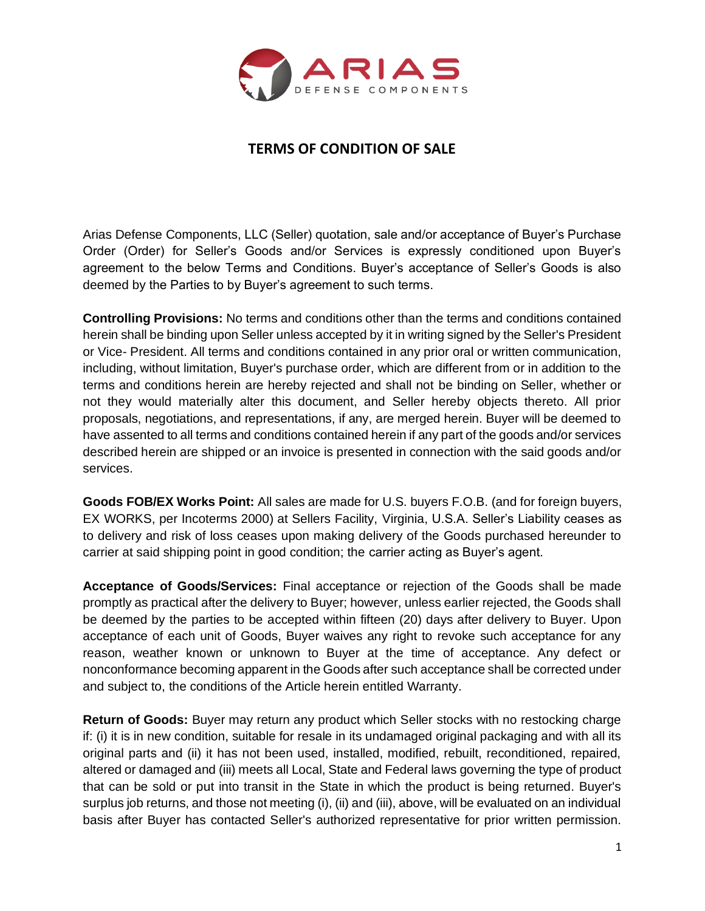

Arias Defense Components, LLC (Seller) quotation, sale and/or acceptance of Buyer's Purchase Order (Order) for Seller's Goods and/or Services is expressly conditioned upon Buyer's agreement to the below Terms and Conditions. Buyer's acceptance of Seller's Goods is also deemed by the Parties to by Buyer's agreement to such terms.

**Controlling Provisions:** No terms and conditions other than the terms and conditions contained herein shall be binding upon Seller unless accepted by it in writing signed by the Seller's President or Vice- President. All terms and conditions contained in any prior oral or written communication, including, without limitation, Buyer's purchase order, which are different from or in addition to the terms and conditions herein are hereby rejected and shall not be binding on Seller, whether or not they would materially alter this document, and Seller hereby objects thereto. All prior proposals, negotiations, and representations, if any, are merged herein. Buyer will be deemed to have assented to all terms and conditions contained herein if any part of the goods and/or services described herein are shipped or an invoice is presented in connection with the said goods and/or services.

**Goods FOB/EX Works Point:** All sales are made for U.S. buyers F.O.B. (and for foreign buyers, EX WORKS, per Incoterms 2000) at Sellers Facility, Virginia, U.S.A. Seller's Liability ceases as to delivery and risk of loss ceases upon making delivery of the Goods purchased hereunder to carrier at said shipping point in good condition; the carrier acting as Buyer's agent.

**Acceptance of Goods/Services:** Final acceptance or rejection of the Goods shall be made promptly as practical after the delivery to Buyer; however, unless earlier rejected, the Goods shall be deemed by the parties to be accepted within fifteen (20) days after delivery to Buyer. Upon acceptance of each unit of Goods, Buyer waives any right to revoke such acceptance for any reason, weather known or unknown to Buyer at the time of acceptance. Any defect or nonconformance becoming apparent in the Goods after such acceptance shall be corrected under and subject to, the conditions of the Article herein entitled Warranty.

**Return of Goods:** Buyer may return any product which Seller stocks with no restocking charge if: (i) it is in new condition, suitable for resale in its undamaged original packaging and with all its original parts and (ii) it has not been used, installed, modified, rebuilt, reconditioned, repaired, altered or damaged and (iii) meets all Local, State and Federal laws governing the type of product that can be sold or put into transit in the State in which the product is being returned. Buyer's surplus job returns, and those not meeting (i), (ii) and (iii), above, will be evaluated on an individual basis after Buyer has contacted Seller's authorized representative for prior written permission.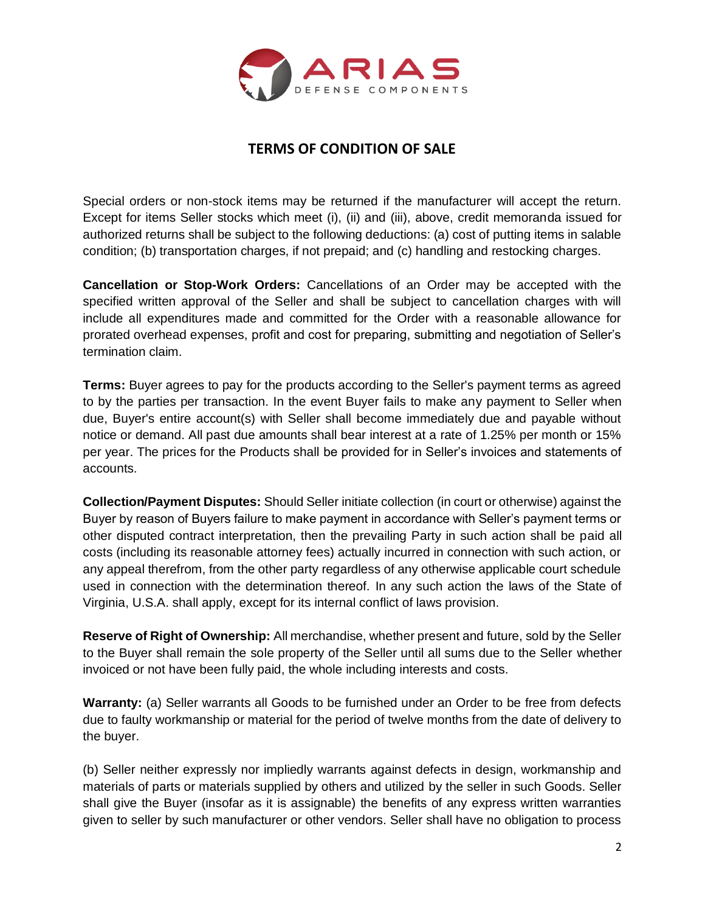

Special orders or non-stock items may be returned if the manufacturer will accept the return. Except for items Seller stocks which meet (i), (ii) and (iii), above, credit memoranda issued for authorized returns shall be subject to the following deductions: (a) cost of putting items in salable condition; (b) transportation charges, if not prepaid; and (c) handling and restocking charges.

**Cancellation or Stop-Work Orders:** Cancellations of an Order may be accepted with the specified written approval of the Seller and shall be subject to cancellation charges with will include all expenditures made and committed for the Order with a reasonable allowance for prorated overhead expenses, profit and cost for preparing, submitting and negotiation of Seller's termination claim.

**Terms:** Buyer agrees to pay for the products according to the Seller's payment terms as agreed to by the parties per transaction. In the event Buyer fails to make any payment to Seller when due, Buyer's entire account(s) with Seller shall become immediately due and payable without notice or demand. All past due amounts shall bear interest at a rate of 1.25% per month or 15% per year. The prices for the Products shall be provided for in Seller's invoices and statements of accounts.

**Collection/Payment Disputes:** Should Seller initiate collection (in court or otherwise) against the Buyer by reason of Buyers failure to make payment in accordance with Seller's payment terms or other disputed contract interpretation, then the prevailing Party in such action shall be paid all costs (including its reasonable attorney fees) actually incurred in connection with such action, or any appeal therefrom, from the other party regardless of any otherwise applicable court schedule used in connection with the determination thereof. In any such action the laws of the State of Virginia, U.S.A. shall apply, except for its internal conflict of laws provision.

**Reserve of Right of Ownership:** All merchandise, whether present and future, sold by the Seller to the Buyer shall remain the sole property of the Seller until all sums due to the Seller whether invoiced or not have been fully paid, the whole including interests and costs.

**Warranty:** (a) Seller warrants all Goods to be furnished under an Order to be free from defects due to faulty workmanship or material for the period of twelve months from the date of delivery to the buyer.

(b) Seller neither expressly nor impliedly warrants against defects in design, workmanship and materials of parts or materials supplied by others and utilized by the seller in such Goods. Seller shall give the Buyer (insofar as it is assignable) the benefits of any express written warranties given to seller by such manufacturer or other vendors. Seller shall have no obligation to process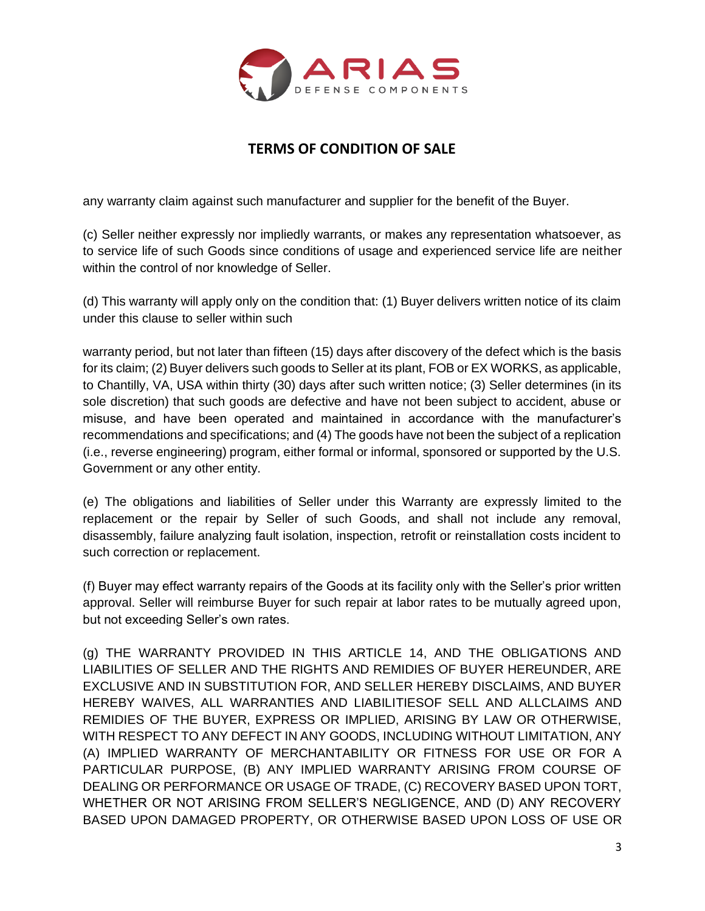

any warranty claim against such manufacturer and supplier for the benefit of the Buyer.

(c) Seller neither expressly nor impliedly warrants, or makes any representation whatsoever, as to service life of such Goods since conditions of usage and experienced service life are neither within the control of nor knowledge of Seller.

(d) This warranty will apply only on the condition that: (1) Buyer delivers written notice of its claim under this clause to seller within such

warranty period, but not later than fifteen (15) days after discovery of the defect which is the basis for its claim; (2) Buyer delivers such goods to Seller at its plant, FOB or EX WORKS, as applicable, to Chantilly, VA, USA within thirty (30) days after such written notice; (3) Seller determines (in its sole discretion) that such goods are defective and have not been subject to accident, abuse or misuse, and have been operated and maintained in accordance with the manufacturer's recommendations and specifications; and (4) The goods have not been the subject of a replication (i.e., reverse engineering) program, either formal or informal, sponsored or supported by the U.S. Government or any other entity.

(e) The obligations and liabilities of Seller under this Warranty are expressly limited to the replacement or the repair by Seller of such Goods, and shall not include any removal, disassembly, failure analyzing fault isolation, inspection, retrofit or reinstallation costs incident to such correction or replacement.

(f) Buyer may effect warranty repairs of the Goods at its facility only with the Seller's prior written approval. Seller will reimburse Buyer for such repair at labor rates to be mutually agreed upon, but not exceeding Seller's own rates.

(g) THE WARRANTY PROVIDED IN THIS ARTICLE 14, AND THE OBLIGATIONS AND LIABILITIES OF SELLER AND THE RIGHTS AND REMIDIES OF BUYER HEREUNDER, ARE EXCLUSIVE AND IN SUBSTITUTION FOR, AND SELLER HEREBY DISCLAIMS, AND BUYER HEREBY WAIVES, ALL WARRANTIES AND LIABILITIESOF SELL AND ALLCLAIMS AND REMIDIES OF THE BUYER, EXPRESS OR IMPLIED, ARISING BY LAW OR OTHERWISE, WITH RESPECT TO ANY DEFECT IN ANY GOODS, INCLUDING WITHOUT LIMITATION, ANY (A) IMPLIED WARRANTY OF MERCHANTABILITY OR FITNESS FOR USE OR FOR A PARTICULAR PURPOSE, (B) ANY IMPLIED WARRANTY ARISING FROM COURSE OF DEALING OR PERFORMANCE OR USAGE OF TRADE, (C) RECOVERY BASED UPON TORT, WHETHER OR NOT ARISING FROM SELLER'S NEGLIGENCE, AND (D) ANY RECOVERY BASED UPON DAMAGED PROPERTY, OR OTHERWISE BASED UPON LOSS OF USE OR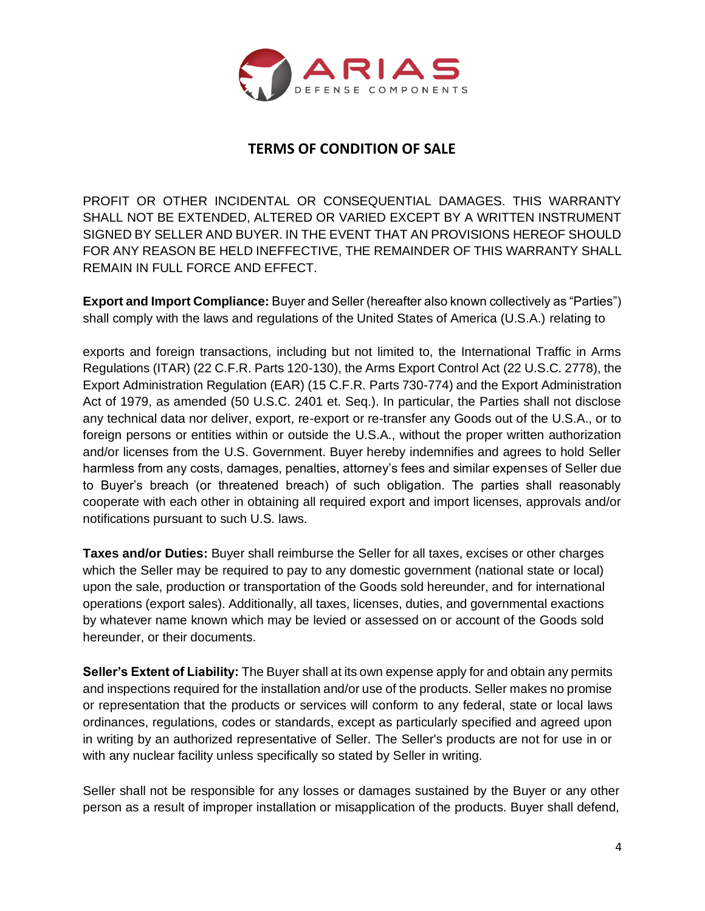

PROFIT OR OTHER INCIDENTAL OR CONSEQUENTIAL DAMAGES. THIS WARRANTY SHALL NOT BE EXTENDED, ALTERED OR VARIED EXCEPT BY A WRITTEN INSTRUMENT SIGNED BY SELLER AND BUYER. IN THE EVENT THAT AN PROVISIONS HEREOF SHOULD FOR ANY REASON BE HELD INEFFECTIVE, THE REMAINDER OF THIS WARRANTY SHALL REMAIN IN FULL FORCE AND EFFECT.

**Export and Import Compliance:** Buyer and Seller (hereafter also known collectively as "Parties") shall comply with the laws and regulations of the United States of America (U.S.A.) relating to

exports and foreign transactions, including but not limited to, the International Traffic in Arms Regulations (ITAR) (22 C.F.R. Parts 120-130), the Arms Export Control Act (22 U.S.C. 2778), the Export Administration Regulation (EAR) (15 C.F.R. Parts 730-774) and the Export Administration Act of 1979, as amended (50 U.S.C. 2401 et. Seq.). In particular, the Parties shall not disclose any technical data nor deliver, export, re-export or re-transfer any Goods out of the U.S.A., or to foreign persons or entities within or outside the U.S.A., without the proper written authorization and/or licenses from the U.S. Government. Buyer hereby indemnifies and agrees to hold Seller harmless from any costs, damages, penalties, attorney's fees and similar expenses of Seller due to Buyer's breach (or threatened breach) of such obligation. The parties shall reasonably cooperate with each other in obtaining all required export and import licenses, approvals and/or notifications pursuant to such U.S. laws.

**Taxes and/or Duties:** Buyer shall reimburse the Seller for all taxes, excises or other charges which the Seller may be required to pay to any domestic government (national state or local) upon the sale, production or transportation of the Goods sold hereunder, and for international operations (export sales). Additionally, all taxes, licenses, duties, and governmental exactions by whatever name known which may be levied or assessed on or account of the Goods sold hereunder, or their documents.

**Seller's Extent of Liability:** The Buyer shall at its own expense apply for and obtain any permits and inspections required for the installation and/or use of the products. Seller makes no promise or representation that the products or services will conform to any federal, state or local laws ordinances, regulations, codes or standards, except as particularly specified and agreed upon in writing by an authorized representative of Seller. The Seller's products are not for use in or with any nuclear facility unless specifically so stated by Seller in writing.

Seller shall not be responsible for any losses or damages sustained by the Buyer or any other person as a result of improper installation or misapplication of the products. Buyer shall defend,